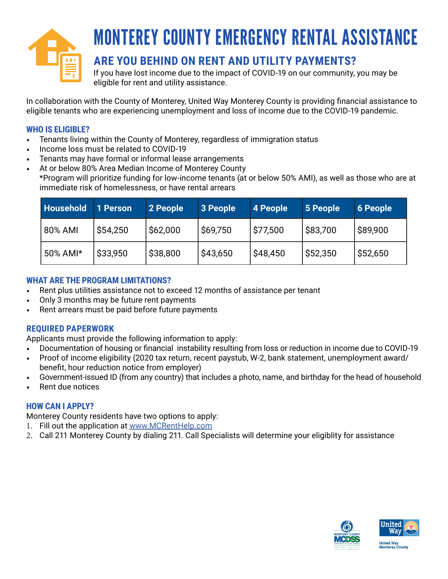

## MONTEREY COUNTY EMERGENCY RENTAL ASSISTANCE

### **ARE YOU BEHIND ON RENT AND UTILITY PAYMENTS?**

If you have lost income due to the impact of COVID-19 on our community, you may be eligible for rent and utility assistance.

In collaboration with the County of Monterey, United Way Monterey County is providing financial assistance to eligible tenants who are experiencing unemployment and loss of income due to the COVID-19 pandemic.

### **WHO IS ELIGIBLE?**

- Tenants living within the County of Monterey, regardless of immigration status
- Income loss must be related to COVID-19
- Tenants may have formal or informal lease arrangements
- At or below 80% Area Median Income of Monterey County
- \*Program will prioritize funding for low-income tenants (at or below 50% AMI), as well as those who are at immediate risk of homelessness, or have rental arrears

| <b>Household</b> | 1 Person | 2 People | 3 People | 4 People | 5 People | <b>6 People</b> |
|------------------|----------|----------|----------|----------|----------|-----------------|
| 80% AMI          | \$54,250 | \$62,000 | \$69,750 | \$77,500 | \$83,700 | ' \$89,900      |
| 50% AMI*         | \$33,950 | \$38,800 | \$43,650 | \$48,450 | \$52,350 | \$52,650        |

### **WHAT ARE THE PROGRAM LIMITATIONS?**

- Rent plus utilities assistance not to exceed 12 months of assistance per tenant
- Only 3 months may be future rent payments
- Rent arrears must be paid before future payments

### **REQUIRED PAPERWORK**

Applicants must provide the following information to apply:

- Documentation of housing or financial instability resulting from loss or reduction in income due to COVID-19
- Proof of income eligibility (2020 tax return, recent paystub, W-2, bank statement, unemployment award/ benefit, hour reduction notice from employer)
- Government-issued ID (from any country) that includes a photo, name, and birthday for the head of household
- Rent due notices

### **HOW CAN I APPLY?**

Monterey County residents have two options to apply:

- 1. Fill out the application at [www.MCRentHelp.com](http://www.MCRentHelp.com)
- 2. Call 211 Monterey County by dialing 211. Call Specialists will determine your eligiblity for assistance